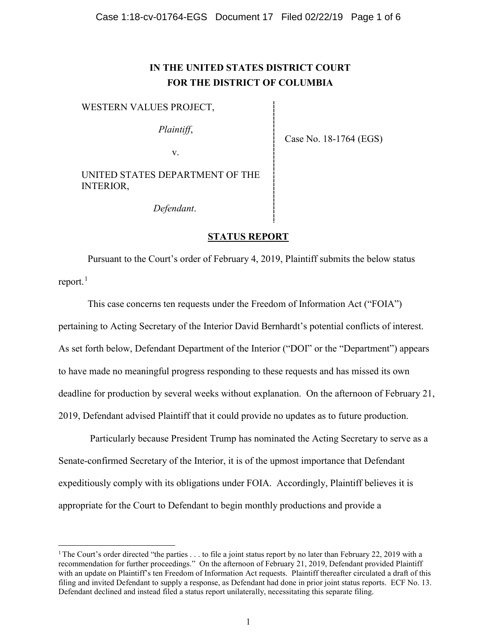# **IN THE UNITED STATES DISTRICT COURT FOR THE DISTRICT OF COLUMBIA**

## WESTERN VALUES PROJECT,

*Plaintiff*,

v.

Case No. 18-1764 (EGS)

UNITED STATES DEPARTMENT OF THE INTERIOR,

*Defendant*.

# **STATUS REPORT**

Pursuant to the Court's order of February 4, 2019, Plaintiff submits the below status report.<sup>[1](#page-0-0)</sup>

This case concerns ten requests under the Freedom of Information Act ("FOIA") pertaining to Acting Secretary of the Interior David Bernhardt's potential conflicts of interest. As set forth below, Defendant Department of the Interior ("DOI" or the "Department") appears to have made no meaningful progress responding to these requests and has missed its own deadline for production by several weeks without explanation. On the afternoon of February 21, 2019, Defendant advised Plaintiff that it could provide no updates as to future production.

Particularly because President Trump has nominated the Acting Secretary to serve as a Senate-confirmed Secretary of the Interior, it is of the upmost importance that Defendant expeditiously comply with its obligations under FOIA. Accordingly, Plaintiff believes it is appropriate for the Court to Defendant to begin monthly productions and provide a

<span id="page-0-0"></span><sup>&</sup>lt;sup>1</sup> The Court's order directed "the parties  $\dots$  to file a joint status report by no later than February 22, 2019 with a recommendation for further proceedings." On the afternoon of February 21, 2019, Defendant provided Plaintiff with an update on Plaintiff's ten Freedom of Information Act requests. Plaintiff thereafter circulated a draft of this filing and invited Defendant to supply a response, as Defendant had done in prior joint status reports. ECF No. 13. Defendant declined and instead filed a status report unilaterally, necessitating this separate filing.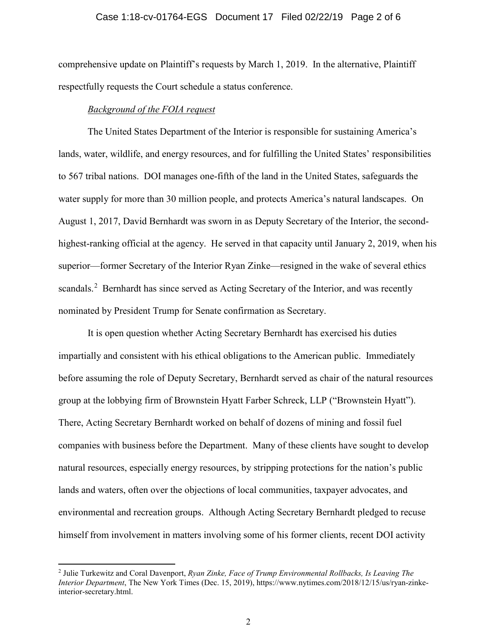### Case 1:18-cv-01764-EGS Document 17 Filed 02/22/19 Page 2 of 6

comprehensive update on Plaintiff's requests by March 1, 2019. In the alternative, Plaintiff respectfully requests the Court schedule a status conference.

#### *Background of the FOIA request*

The United States Department of the Interior is responsible for sustaining America's lands, water, wildlife, and energy resources, and for fulfilling the United States' responsibilities to 567 tribal nations. DOI manages one-fifth of the land in the United States, safeguards the water supply for more than 30 million people, and protects America's natural landscapes. On August 1, 2017, David Bernhardt was sworn in as Deputy Secretary of the Interior, the secondhighest-ranking official at the agency. He served in that capacity until January 2, 2019, when his superior—former Secretary of the Interior Ryan Zinke—resigned in the wake of several ethics scandals.<sup>[2](#page-1-0)</sup> Bernhardt has since served as Acting Secretary of the Interior, and was recently nominated by President Trump for Senate confirmation as Secretary.

It is open question whether Acting Secretary Bernhardt has exercised his duties impartially and consistent with his ethical obligations to the American public. Immediately before assuming the role of Deputy Secretary, Bernhardt served as chair of the natural resources group at the lobbying firm of Brownstein Hyatt Farber Schreck, LLP ("Brownstein Hyatt"). There, Acting Secretary Bernhardt worked on behalf of dozens of mining and fossil fuel companies with business before the Department. Many of these clients have sought to develop natural resources, especially energy resources, by stripping protections for the nation's public lands and waters, often over the objections of local communities, taxpayer advocates, and environmental and recreation groups. Although Acting Secretary Bernhardt pledged to recuse himself from involvement in matters involving some of his former clients, recent DOI activity

<span id="page-1-0"></span> <sup>2</sup> Julie Turkewitz and Coral Davenport, *Ryan Zinke, Face of Trump Environmental Rollbacks, Is Leaving The Interior Department*, The New York Times (Dec. 15, 2019), https://www.nytimes.com/2018/12/15/us/ryan-zinkeinterior-secretary.html.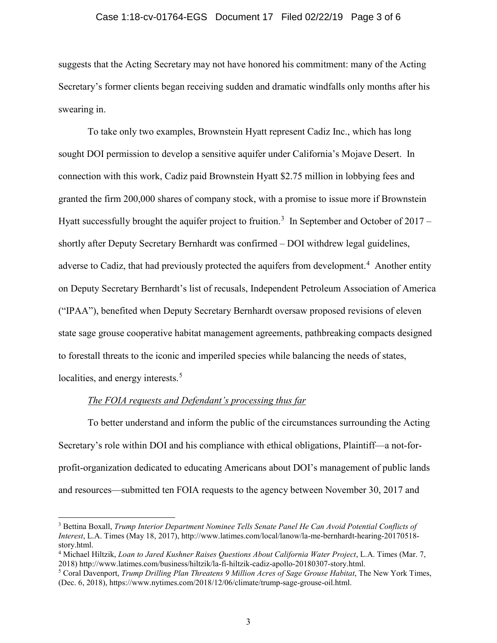### Case 1:18-cv-01764-EGS Document 17 Filed 02/22/19 Page 3 of 6

suggests that the Acting Secretary may not have honored his commitment: many of the Acting Secretary's former clients began receiving sudden and dramatic windfalls only months after his swearing in.

To take only two examples, Brownstein Hyatt represent Cadiz Inc., which has long sought DOI permission to develop a sensitive aquifer under California's Mojave Desert. In connection with this work, Cadiz paid Brownstein Hyatt \$2.75 million in lobbying fees and granted the firm 200,000 shares of company stock, with a promise to issue more if Brownstein Hyatt successfully brought the aquifer project to fruition.<sup>[3](#page-2-0)</sup> In September and October of 2017 – shortly after Deputy Secretary Bernhardt was confirmed – DOI withdrew legal guidelines, adverse to Cadiz, that had previously protected the aquifers from development.<sup>[4](#page-2-1)</sup> Another entity on Deputy Secretary Bernhardt's list of recusals, Independent Petroleum Association of America ("IPAA"), benefited when Deputy Secretary Bernhardt oversaw proposed revisions of eleven state sage grouse cooperative habitat management agreements, pathbreaking compacts designed to forestall threats to the iconic and imperiled species while balancing the needs of states, localities, and energy interests.<sup>[5](#page-2-2)</sup>

# *The FOIA requests and Defendant's processing thus far*

To better understand and inform the public of the circumstances surrounding the Acting Secretary's role within DOI and his compliance with ethical obligations, Plaintiff—a not-forprofit-organization dedicated to educating Americans about DOI's management of public lands and resources—submitted ten FOIA requests to the agency between November 30, 2017 and

<span id="page-2-0"></span> <sup>3</sup> Bettina Boxall, *Trump Interior Department Nominee Tells Senate Panel He Can Avoid Potential Conflicts of Interest*, L.A. Times (May 18, 2017), http://www.latimes.com/local/lanow/la-me-bernhardt-hearing-20170518 story.html.

<span id="page-2-1"></span><sup>4</sup> Michael Hiltzik, *Loan to Jared Kushner Raises Questions About California Water Project*, L.A. Times (Mar. 7, 2018) http://www.latimes.com/business/hiltzik/la-fi-hiltzik-cadiz-apollo-20180307-story.html.

<span id="page-2-2"></span><sup>5</sup> Coral Davenport, *Trump Drilling Plan Threatens 9 Million Acres of Sage Grouse Habitat*, The New York Times, (Dec. 6, 2018), https://www.nytimes.com/2018/12/06/climate/trump-sage-grouse-oil.html.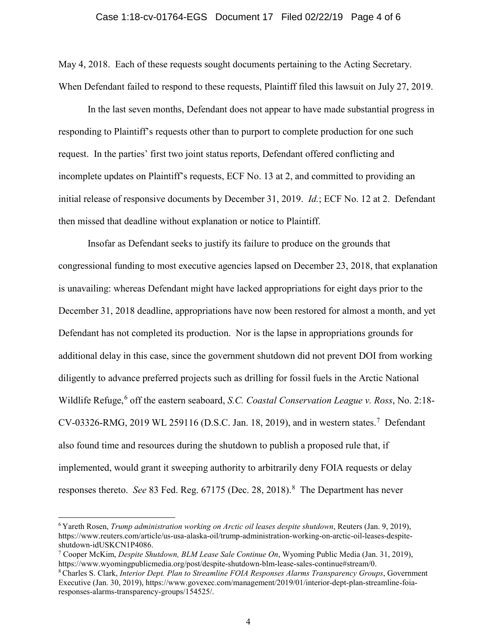# Case 1:18-cv-01764-EGS Document 17 Filed 02/22/19 Page 4 of 6

May 4, 2018. Each of these requests sought documents pertaining to the Acting Secretary. When Defendant failed to respond to these requests, Plaintiff filed this lawsuit on July 27, 2019.

In the last seven months, Defendant does not appear to have made substantial progress in responding to Plaintiff's requests other than to purport to complete production for one such request. In the parties' first two joint status reports, Defendant offered conflicting and incomplete updates on Plaintiff's requests, ECF No. 13 at 2, and committed to providing an initial release of responsive documents by December 31, 2019. *Id.*; ECF No. 12 at 2. Defendant then missed that deadline without explanation or notice to Plaintiff.

Insofar as Defendant seeks to justify its failure to produce on the grounds that congressional funding to most executive agencies lapsed on December 23, 2018, that explanation is unavailing: whereas Defendant might have lacked appropriations for eight days prior to the December 31, 2018 deadline, appropriations have now been restored for almost a month, and yet Defendant has not completed its production. Nor is the lapse in appropriations grounds for additional delay in this case, since the government shutdown did not prevent DOI from working diligently to advance preferred projects such as drilling for fossil fuels in the Arctic National Wildlife Refuge,<sup>[6](#page-3-0)</sup> off the eastern seaboard, *S.C. Coastal Conservation League v. Ross*, No. 2:18-CV-03326-RMG, 2019 WL 259116 (D.S.C. Jan. 18, 2019), and in western states.<sup>[7](#page-3-1)</sup> Defendant also found time and resources during the shutdown to publish a proposed rule that, if implemented, would grant it sweeping authority to arbitrarily deny FOIA requests or delay responses thereto. *See* [8](#page-3-2)3 Fed. Reg. 67175 (Dec. 28, 2018).<sup>8</sup> The Department has never

<span id="page-3-0"></span> <sup>6</sup> Yareth Rosen, *Trump administration working on Arctic oil leases despite shutdown*, Reuters (Jan. 9, 2019), https://www.reuters.com/article/us-usa-alaska-oil/trump-administration-working-on-arctic-oil-leases-despiteshutdown-idUSKCN1P4086.

<span id="page-3-1"></span><sup>7</sup> Cooper McKim, *Despite Shutdown, BLM Lease Sale Continue On*, Wyoming Public Media (Jan. 31, 2019), https://www.wyomingpublicmedia.org/post/despite-shutdown-blm-lease-sales-continue#stream/0.

<span id="page-3-2"></span><sup>8</sup> Charles S. Clark, *Interior Dept. Plan to Streamline FOIA Responses Alarms Transparency Groups*, Government Executive (Jan. 30, 2019), https://www.govexec.com/management/2019/01/interior-dept-plan-streamline-foiaresponses-alarms-transparency-groups/154525/.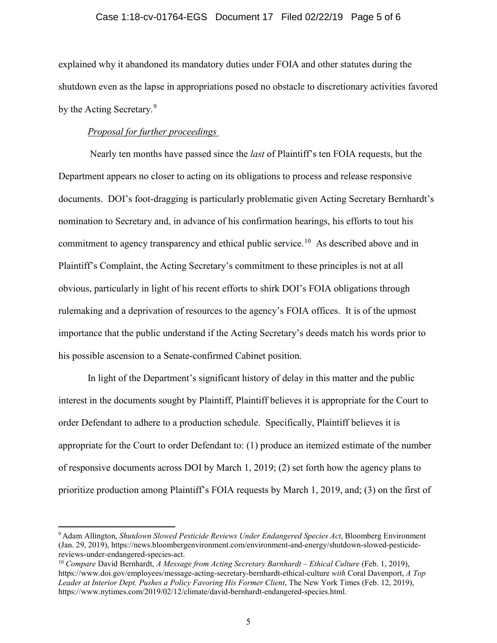### Case 1:18-cv-01764-EGS Document 17 Filed 02/22/19 Page 5 of 6

explained why it abandoned its mandatory duties under FOIA and other statutes during the shutdown even as the lapse in appropriations posed no obstacle to discretionary activities favored by the Acting Secretary.<sup>[9](#page-4-0)</sup>

### *Proposal for further proceedings*

Nearly ten months have passed since the *last* of Plaintiff's ten FOIA requests, but the Department appears no closer to acting on its obligations to process and release responsive documents. DOI's foot-dragging is particularly problematic given Acting Secretary Bernhardt's nomination to Secretary and, in advance of his confirmation hearings, his efforts to tout his commitment to agency transparency and ethical public service.<sup>[10](#page-4-1)</sup> As described above and in Plaintiff's Complaint, the Acting Secretary's commitment to these principles is not at all obvious, particularly in light of his recent efforts to shirk DOI's FOIA obligations through rulemaking and a deprivation of resources to the agency's FOIA offices. It is of the upmost importance that the public understand if the Acting Secretary's deeds match his words prior to his possible ascension to a Senate-confirmed Cabinet position.

In light of the Department's significant history of delay in this matter and the public interest in the documents sought by Plaintiff, Plaintiff believes it is appropriate for the Court to order Defendant to adhere to a production schedule. Specifically, Plaintiff believes it is appropriate for the Court to order Defendant to: (1) produce an itemized estimate of the number of responsive documents across DOI by March 1, 2019; (2) set forth how the agency plans to prioritize production among Plaintiff's FOIA requests by March 1, 2019, and; (3) on the first of

<span id="page-4-0"></span> <sup>9</sup> Adam Allington, *Shutdown Slowed Pesticide Reviews Under Endangered Species Act*, Bloomberg Environment (Jan. 29, 2019), https://news.bloombergenvironment.com/environment-and-energy/shutdown-slowed-pesticidereviews-under-endangered-species-act.

<span id="page-4-1"></span><sup>10</sup> *Compare* David Bernhardt, *A Message from Acting Secretary Barnhardt – Ethical Culture* (Feb. 1, 2019), https://www.doi.gov/employees/message-acting-secretary-bernhardt-ethical-culture *with* Coral Davenport, *A Top Leader at Interior Dept. Pushes a Policy Favoring His Former Client*, The New York Times (Feb. 12, 2019), https://www.nytimes.com/2019/02/12/climate/david-bernhardt-endangered-species.html. .